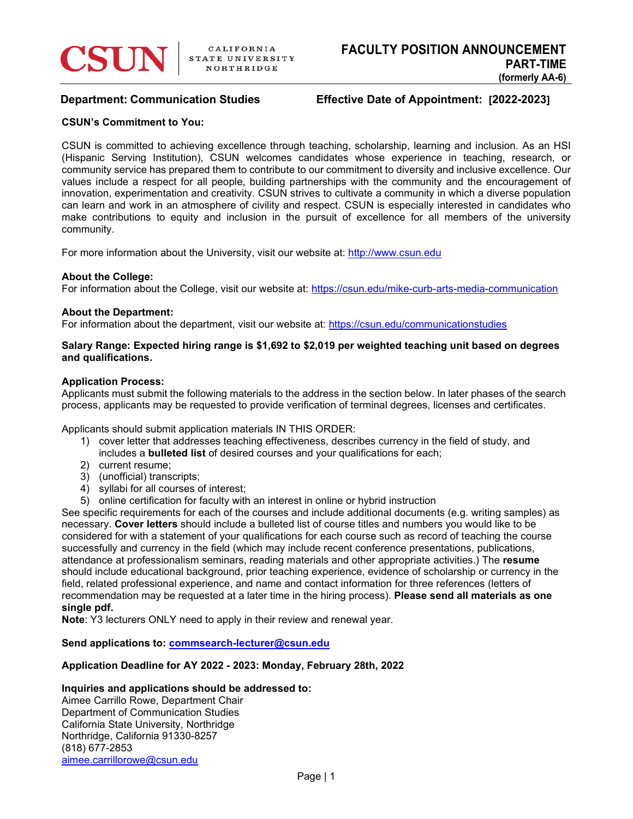# **Department: Communication Studies Effective Date of Appointment: [2022-2023]**

## **CSUN's Commitment to You:**

CSUN is committed to achieving excellence through teaching, scholarship, learning and inclusion. As an HSI (Hispanic Serving Institution), CSUN welcomes candidates whose experience in teaching, research, or community service has prepared them to contribute to our commitment to diversity and inclusive excellence. Our values include a respect for all people, building partnerships with the community and the encouragement of innovation, experimentation and creativity. CSUN strives to cultivate a community in which a diverse population can learn and work in an atmosphere of civility and respect. CSUN is especially interested in candidates who make contributions to equity and inclusion in the pursuit of excellence for all members of the university community.

For more information about the University, visit our website at: [http://www.csun.edu](http://www.csun.edu/)

#### **About the College:**

For information about the College, visit our website at:<https://csun.edu/mike-curb-arts-media-communication>

#### **About the Department:**

For information about the department, visit our website at: <https://csun.edu/communicationstudies>

#### **Salary Range: Expected hiring range is \$1,692 to \$2,019 per weighted teaching unit based on degrees and qualifications.**

#### **Application Process:**

Applicants must submit the following materials to the address in the section below. In later phases of the search process, applicants may be requested to provide verification of terminal degrees, licenses and certificates.

Applicants should submit application materials IN THIS ORDER:

- 1) cover letter that addresses teaching effectiveness, describes currency in the field of study, and includes a **bulleted list** of desired courses and your qualifications for each;
- 2) current resume;
- 3) (unofficial) transcripts;
- 4) syllabi for all courses of interest;
- 5) online certification for faculty with an interest in online or hybrid instruction

See specific requirements for each of the courses and include additional documents (e.g. writing samples) as necessary. **Cover letters** should include a bulleted list of course titles and numbers you would like to be considered for with a statement of your qualifications for each course such as record of teaching the course successfully and currency in the field (which may include recent conference presentations, publications, attendance at professionalism seminars, reading materials and other appropriate activities.) The **resume** should include educational background, prior teaching experience, evidence of scholarship or currency in the field, related professional experience, and name and contact information for three references (letters of recommendation may be requested at a later time in the hiring process). **Please send all materials as one single pdf.**

**Note**: Y3 lecturers ONLY need to apply in their review and renewal year.

**Send applications to: [commsearch-lecturer@csun.edu](mailto:commsearch-lecturer@csun.edu)**

## **Application Deadline for AY 2022 - 2023: Monday, February 28th, 2022**

### **Inquiries and applications should be addressed to:**

Aimee Carrillo Rowe, Department Chair Department of Communication Studies California State University, Northridge Northridge, California 91330-8257 (818) 677-2853 [aimee.carrillorowe@csun.edu](mailto:aimee.carrillorowe@csun.edu)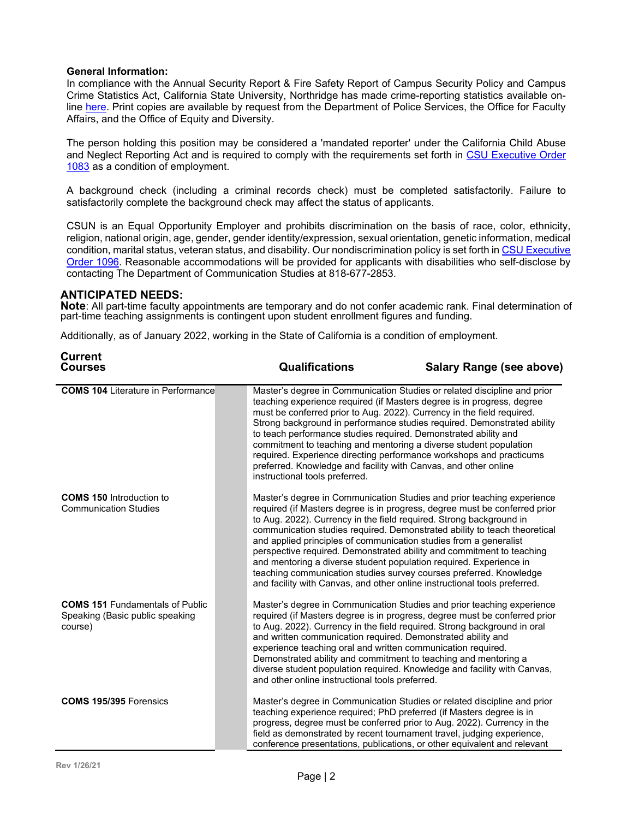### **General Information:**

In compliance with the Annual Security Report & Fire Safety Report of Campus Security Policy and Campus Crime Statistics Act, California State University, Northridge has made crime-reporting statistics available online [here.](http://www.csun.edu/sites/default/files/clery-report.pdf) Print copies are available by request from the Department of Police Services, the Office for Faculty Affairs, and the Office of Equity and Diversity.

The person holding this position may be considered a 'mandated reporter' under the California Child Abuse and Neglect Reporting Act and is required to comply with the requirements set forth in [CSU Executive Order](https://www.calstate.edu/eo/EO-1083.html)  [1083](https://www.calstate.edu/eo/EO-1083.html) as a condition of employment.

A background check (including a criminal records check) must be completed satisfactorily. Failure to satisfactorily complete the background check may affect the status of applicants.

CSUN is an Equal Opportunity Employer and prohibits discrimination on the basis of race, color, ethnicity, religion, national origin, age, gender, gender identity/expression, sexual orientation, genetic information, medical condition, marital status, veteran status, and disability. Our nondiscrimination policy is set forth i[n CSU Executive](https://www.calstate.edu/eo/EO-1096-rev-10-5-16.html)  [Order 1096.](https://www.calstate.edu/eo/EO-1096-rev-10-5-16.html) Reasonable accommodations will be provided for applicants with disabilities who self-disclose by contacting The Department of Communication Studies at 818-677-2853.

## **ANTICIPATED NEEDS:**

**Current**

**Note**: All part-time faculty appointments are temporary and do not confer academic rank. Final determination of part-time teaching assignments is contingent upon student enrollment figures and funding.

Additionally, as of January 2022, working in the State of California is a condition of employment.

| <b>Uurrent</b><br><b>Courses</b>                                                     | <b>Qualifications</b>                                                                                                                                                                                                                                                                                                                                                                                                                                                | <b>Salary Range (see above)</b>                                                                                                                                                                                                   |
|--------------------------------------------------------------------------------------|----------------------------------------------------------------------------------------------------------------------------------------------------------------------------------------------------------------------------------------------------------------------------------------------------------------------------------------------------------------------------------------------------------------------------------------------------------------------|-----------------------------------------------------------------------------------------------------------------------------------------------------------------------------------------------------------------------------------|
| <b>COMS 104 Literature in Performance</b>                                            | teaching experience required (if Masters degree is in progress, degree<br>must be conferred prior to Aug. 2022). Currency in the field required.<br>to teach performance studies required. Demonstrated ability and<br>commitment to teaching and mentoring a diverse student population<br>required. Experience directing performance workshops and practicums<br>preferred. Knowledge and facility with Canvas, and other online<br>instructional tools preferred. | Master's degree in Communication Studies or related discipline and prior<br>Strong background in performance studies required. Demonstrated ability                                                                               |
| <b>COMS 150 Introduction to</b><br><b>Communication Studies</b>                      | to Aug. 2022). Currency in the field required. Strong background in<br>and applied principles of communication studies from a generalist<br>perspective required. Demonstrated ability and commitment to teaching<br>and mentoring a diverse student population required. Experience in<br>teaching communication studies survey courses preferred. Knowledge<br>and facility with Canvas, and other online instructional tools preferred.                           | Master's degree in Communication Studies and prior teaching experience<br>required (if Masters degree is in progress, degree must be conferred prior<br>communication studies required. Demonstrated ability to teach theoretical |
| <b>COMS 151 Fundamentals of Public</b><br>Speaking (Basic public speaking<br>course) | to Aug. 2022). Currency in the field required. Strong background in oral<br>and written communication required. Demonstrated ability and<br>experience teaching oral and written communication required.<br>Demonstrated ability and commitment to teaching and mentoring a<br>and other online instructional tools preferred.                                                                                                                                       | Master's degree in Communication Studies and prior teaching experience<br>required (if Masters degree is in progress, degree must be conferred prior<br>diverse student population required. Knowledge and facility with Canvas,  |
| <b>COMS 195/395 Forensics</b>                                                        | teaching experience required; PhD preferred (if Masters degree is in<br>field as demonstrated by recent tournament travel, judging experience,                                                                                                                                                                                                                                                                                                                       | Master's degree in Communication Studies or related discipline and prior<br>progress, degree must be conferred prior to Aug. 2022). Currency in the<br>conference presentations, publications, or other equivalent and relevant   |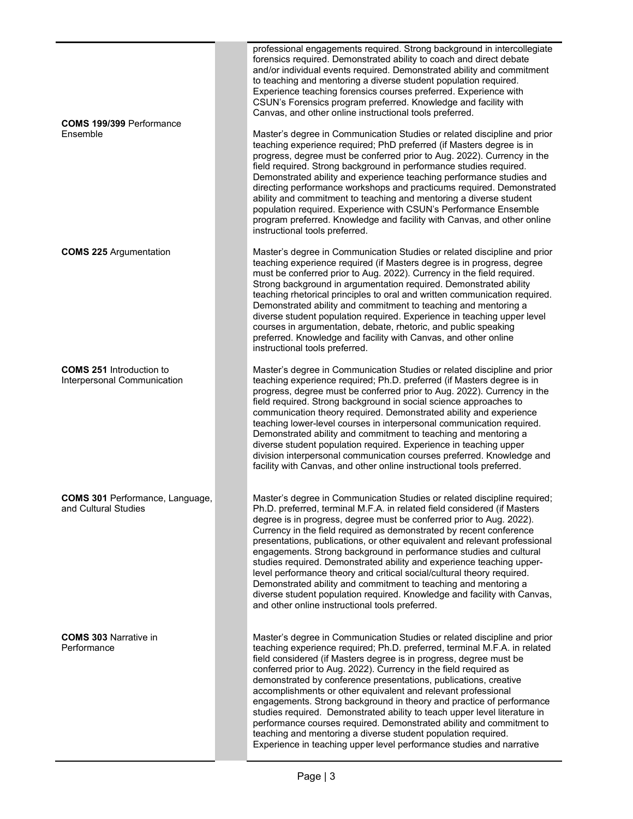|                                                                | professional engagements required. Strong background in intercollegiate<br>forensics required. Demonstrated ability to coach and direct debate<br>and/or individual events required. Demonstrated ability and commitment<br>to teaching and mentoring a diverse student population required.<br>Experience teaching forensics courses preferred. Experience with<br>CSUN's Forensics program preferred. Knowledge and facility with<br>Canvas, and other online instructional tools preferred.                                                                                                                                                                                                                                                                                                               |
|----------------------------------------------------------------|--------------------------------------------------------------------------------------------------------------------------------------------------------------------------------------------------------------------------------------------------------------------------------------------------------------------------------------------------------------------------------------------------------------------------------------------------------------------------------------------------------------------------------------------------------------------------------------------------------------------------------------------------------------------------------------------------------------------------------------------------------------------------------------------------------------|
| <b>COMS 199/399 Performance</b><br>Ensemble                    | Master's degree in Communication Studies or related discipline and prior<br>teaching experience required; PhD preferred (if Masters degree is in<br>progress, degree must be conferred prior to Aug. 2022). Currency in the<br>field required. Strong background in performance studies required.<br>Demonstrated ability and experience teaching performance studies and<br>directing performance workshops and practicums required. Demonstrated<br>ability and commitment to teaching and mentoring a diverse student<br>population required. Experience with CSUN's Performance Ensemble<br>program preferred. Knowledge and facility with Canvas, and other online<br>instructional tools preferred.                                                                                                    |
| <b>COMS 225 Argumentation</b>                                  | Master's degree in Communication Studies or related discipline and prior<br>teaching experience required (if Masters degree is in progress, degree<br>must be conferred prior to Aug. 2022). Currency in the field required.<br>Strong background in argumentation required. Demonstrated ability<br>teaching rhetorical principles to oral and written communication required.<br>Demonstrated ability and commitment to teaching and mentoring a<br>diverse student population required. Experience in teaching upper level<br>courses in argumentation, debate, rhetoric, and public speaking<br>preferred. Knowledge and facility with Canvas, and other online<br>instructional tools preferred.                                                                                                        |
| <b>COMS 251 Introduction to</b><br>Interpersonal Communication | Master's degree in Communication Studies or related discipline and prior<br>teaching experience required; Ph.D. preferred (if Masters degree is in<br>progress, degree must be conferred prior to Aug. 2022). Currency in the<br>field required. Strong background in social science approaches to<br>communication theory required. Demonstrated ability and experience<br>teaching lower-level courses in interpersonal communication required.<br>Demonstrated ability and commitment to teaching and mentoring a<br>diverse student population required. Experience in teaching upper<br>division interpersonal communication courses preferred. Knowledge and<br>facility with Canvas, and other online instructional tools preferred.                                                                  |
| <b>COMS 301 Performance, Language,</b><br>and Cultural Studies | Master's degree in Communication Studies or related discipline required;<br>Ph.D. preferred, terminal M.F.A. in related field considered (if Masters<br>degree is in progress, degree must be conferred prior to Aug. 2022).<br>Currency in the field required as demonstrated by recent conference<br>presentations, publications, or other equivalent and relevant professional<br>engagements. Strong background in performance studies and cultural<br>studies required. Demonstrated ability and experience teaching upper-<br>level performance theory and critical social/cultural theory required.<br>Demonstrated ability and commitment to teaching and mentoring a<br>diverse student population required. Knowledge and facility with Canvas,<br>and other online instructional tools preferred. |
| <b>COMS 303 Narrative in</b><br>Performance                    | Master's degree in Communication Studies or related discipline and prior<br>teaching experience required; Ph.D. preferred, terminal M.F.A. in related<br>field considered (if Masters degree is in progress, degree must be<br>conferred prior to Aug. 2022). Currency in the field required as<br>demonstrated by conference presentations, publications, creative<br>accomplishments or other equivalent and relevant professional<br>engagements. Strong background in theory and practice of performance<br>studies required. Demonstrated ability to teach upper level literature in<br>performance courses required. Demonstrated ability and commitment to<br>teaching and mentoring a diverse student population required.<br>Experience in teaching upper level performance studies and narrative   |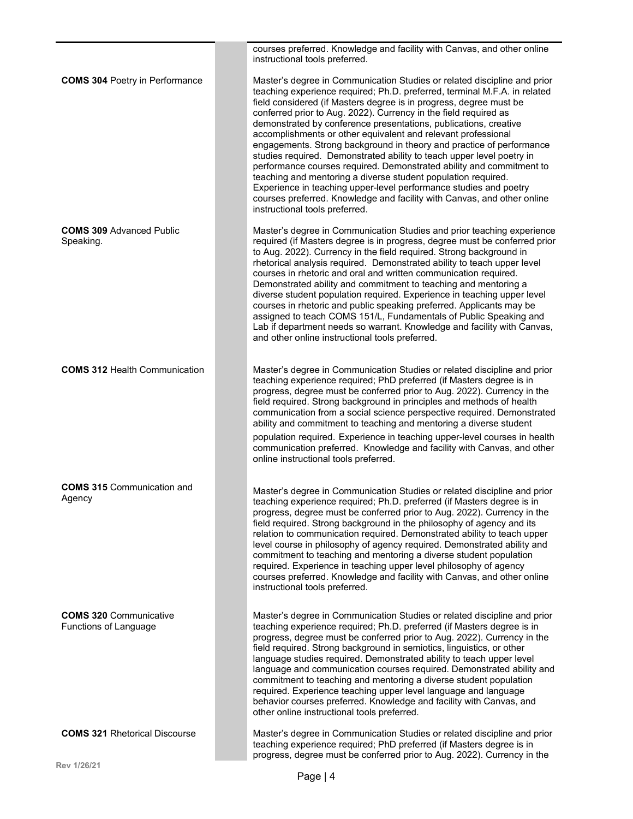|                                                        | courses preferred. Knowledge and facility with Canvas, and other online<br>instructional tools preferred.                                                                                                                                                                                                                                                                                                                                                                                                                                                                                                                                                                                                                                                                                                                                                                                                        |
|--------------------------------------------------------|------------------------------------------------------------------------------------------------------------------------------------------------------------------------------------------------------------------------------------------------------------------------------------------------------------------------------------------------------------------------------------------------------------------------------------------------------------------------------------------------------------------------------------------------------------------------------------------------------------------------------------------------------------------------------------------------------------------------------------------------------------------------------------------------------------------------------------------------------------------------------------------------------------------|
| <b>COMS 304 Poetry in Performance</b>                  | Master's degree in Communication Studies or related discipline and prior<br>teaching experience required; Ph.D. preferred, terminal M.F.A. in related<br>field considered (if Masters degree is in progress, degree must be<br>conferred prior to Aug. 2022). Currency in the field required as<br>demonstrated by conference presentations, publications, creative<br>accomplishments or other equivalent and relevant professional<br>engagements. Strong background in theory and practice of performance<br>studies required. Demonstrated ability to teach upper level poetry in<br>performance courses required. Demonstrated ability and commitment to<br>teaching and mentoring a diverse student population required.<br>Experience in teaching upper-level performance studies and poetry<br>courses preferred. Knowledge and facility with Canvas, and other online<br>instructional tools preferred. |
| <b>COMS 309 Advanced Public</b><br>Speaking.           | Master's degree in Communication Studies and prior teaching experience<br>required (if Masters degree is in progress, degree must be conferred prior<br>to Aug. 2022). Currency in the field required. Strong background in<br>rhetorical analysis required. Demonstrated ability to teach upper level<br>courses in rhetoric and oral and written communication required.<br>Demonstrated ability and commitment to teaching and mentoring a<br>diverse student population required. Experience in teaching upper level<br>courses in rhetoric and public speaking preferred. Applicants may be<br>assigned to teach COMS 151/L, Fundamentals of Public Speaking and<br>Lab if department needs so warrant. Knowledge and facility with Canvas,<br>and other online instructional tools preferred.                                                                                                              |
| <b>COMS 312 Health Communication</b>                   | Master's degree in Communication Studies or related discipline and prior<br>teaching experience required; PhD preferred (if Masters degree is in<br>progress, degree must be conferred prior to Aug. 2022). Currency in the<br>field required. Strong background in principles and methods of health<br>communication from a social science perspective required. Demonstrated<br>ability and commitment to teaching and mentoring a diverse student<br>population required. Experience in teaching upper-level courses in health<br>communication preferred. Knowledge and facility with Canvas, and other<br>online instructional tools preferred.                                                                                                                                                                                                                                                             |
| <b>COMS 315 Communication and</b><br>Agency            | Master's degree in Communication Studies or related discipline and prior<br>teaching experience required; Ph.D. preferred (if Masters degree is in<br>progress, degree must be conferred prior to Aug. 2022). Currency in the<br>field required. Strong background in the philosophy of agency and its<br>relation to communication required. Demonstrated ability to teach upper<br>level course in philosophy of agency required. Demonstrated ability and<br>commitment to teaching and mentoring a diverse student population<br>required. Experience in teaching upper level philosophy of agency<br>courses preferred. Knowledge and facility with Canvas, and other online<br>instructional tools preferred.                                                                                                                                                                                              |
| <b>COMS 320 Communicative</b><br>Functions of Language | Master's degree in Communication Studies or related discipline and prior<br>teaching experience required; Ph.D. preferred (if Masters degree is in<br>progress, degree must be conferred prior to Aug. 2022). Currency in the<br>field required. Strong background in semiotics, linguistics, or other<br>language studies required. Demonstrated ability to teach upper level<br>language and communication courses required. Demonstrated ability and<br>commitment to teaching and mentoring a diverse student population<br>required. Experience teaching upper level language and language<br>behavior courses preferred. Knowledge and facility with Canvas, and<br>other online instructional tools preferred.                                                                                                                                                                                            |
| <b>COMS 321 Rhetorical Discourse</b>                   | Master's degree in Communication Studies or related discipline and prior<br>teaching experience required; PhD preferred (if Masters degree is in<br>progress, degree must be conferred prior to Aug. 2022). Currency in the                                                                                                                                                                                                                                                                                                                                                                                                                                                                                                                                                                                                                                                                                      |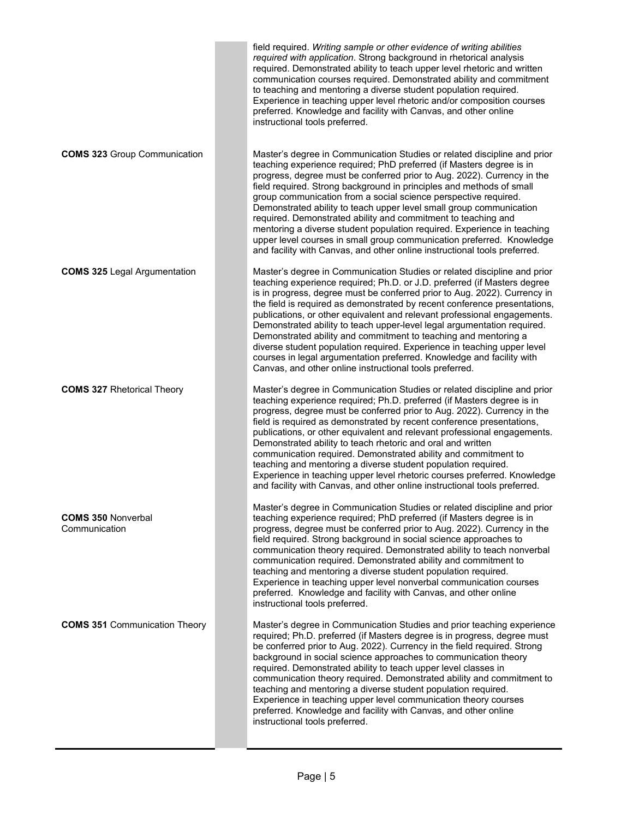|                                            | field required. Writing sample or other evidence of writing abilities<br>required with application. Strong background in rhetorical analysis<br>required. Demonstrated ability to teach upper level rhetoric and written<br>communication courses required. Demonstrated ability and commitment<br>to teaching and mentoring a diverse student population required.<br>Experience in teaching upper level rhetoric and/or composition courses<br>preferred. Knowledge and facility with Canvas, and other online<br>instructional tools preferred.                                                                                                                                                                                                      |
|--------------------------------------------|---------------------------------------------------------------------------------------------------------------------------------------------------------------------------------------------------------------------------------------------------------------------------------------------------------------------------------------------------------------------------------------------------------------------------------------------------------------------------------------------------------------------------------------------------------------------------------------------------------------------------------------------------------------------------------------------------------------------------------------------------------|
| <b>COMS 323 Group Communication</b>        | Master's degree in Communication Studies or related discipline and prior<br>teaching experience required; PhD preferred (if Masters degree is in<br>progress, degree must be conferred prior to Aug. 2022). Currency in the<br>field required. Strong background in principles and methods of small<br>group communication from a social science perspective required.<br>Demonstrated ability to teach upper level small group communication<br>required. Demonstrated ability and commitment to teaching and<br>mentoring a diverse student population required. Experience in teaching<br>upper level courses in small group communication preferred. Knowledge<br>and facility with Canvas, and other online instructional tools preferred.         |
| <b>COMS 325 Legal Argumentation</b>        | Master's degree in Communication Studies or related discipline and prior<br>teaching experience required; Ph.D. or J.D. preferred (if Masters degree<br>is in progress, degree must be conferred prior to Aug. 2022). Currency in<br>the field is required as demonstrated by recent conference presentations,<br>publications, or other equivalent and relevant professional engagements.<br>Demonstrated ability to teach upper-level legal argumentation required.<br>Demonstrated ability and commitment to teaching and mentoring a<br>diverse student population required. Experience in teaching upper level<br>courses in legal argumentation preferred. Knowledge and facility with<br>Canvas, and other online instructional tools preferred. |
| <b>COMS 327 Rhetorical Theory</b>          | Master's degree in Communication Studies or related discipline and prior<br>teaching experience required; Ph.D. preferred (if Masters degree is in<br>progress, degree must be conferred prior to Aug. 2022). Currency in the<br>field is required as demonstrated by recent conference presentations,<br>publications, or other equivalent and relevant professional engagements.<br>Demonstrated ability to teach rhetoric and oral and written<br>communication required. Demonstrated ability and commitment to<br>teaching and mentoring a diverse student population required.<br>Experience in teaching upper level rhetoric courses preferred. Knowledge<br>and facility with Canvas, and other online instructional tools preferred.           |
| <b>COMS 350 Nonverbal</b><br>Communication | Master's degree in Communication Studies or related discipline and prior<br>teaching experience required; PhD preferred (if Masters degree is in<br>progress, degree must be conferred prior to Aug. 2022). Currency in the<br>field required. Strong background in social science approaches to<br>communication theory required. Demonstrated ability to teach nonverbal<br>communication required. Demonstrated ability and commitment to<br>teaching and mentoring a diverse student population required.<br>Experience in teaching upper level nonverbal communication courses<br>preferred. Knowledge and facility with Canvas, and other online<br>instructional tools preferred.                                                                |
| <b>COMS 351 Communication Theory</b>       | Master's degree in Communication Studies and prior teaching experience<br>required; Ph.D. preferred (if Masters degree is in progress, degree must<br>be conferred prior to Aug. 2022). Currency in the field required. Strong<br>background in social science approaches to communication theory<br>required. Demonstrated ability to teach upper level classes in<br>communication theory required. Demonstrated ability and commitment to<br>teaching and mentoring a diverse student population required.<br>Experience in teaching upper level communication theory courses<br>preferred. Knowledge and facility with Canvas, and other online<br>instructional tools preferred.                                                                   |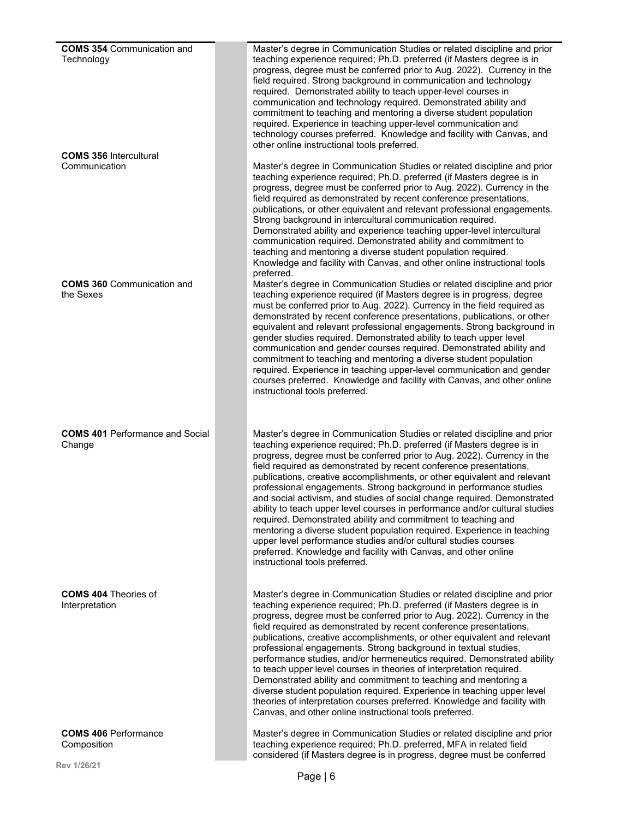| <b>COMS 354 Communication and</b><br>Technology<br><b>COMS 356 Intercultural</b> | Master's degree in Communication Studies or related discipline and prior<br>teaching experience required; Ph.D. preferred (if Masters degree is in<br>progress, degree must be conferred prior to Aug. 2022). Currency in the<br>field required. Strong background in communication and technology<br>required. Demonstrated ability to teach upper-level courses in<br>communication and technology required. Demonstrated ability and<br>commitment to teaching and mentoring a diverse student population<br>required. Experience in teaching upper-level communication and<br>technology courses preferred. Knowledge and facility with Canvas, and<br>other online instructional tools preferred.                                                                                                                                                                                                                               |
|----------------------------------------------------------------------------------|--------------------------------------------------------------------------------------------------------------------------------------------------------------------------------------------------------------------------------------------------------------------------------------------------------------------------------------------------------------------------------------------------------------------------------------------------------------------------------------------------------------------------------------------------------------------------------------------------------------------------------------------------------------------------------------------------------------------------------------------------------------------------------------------------------------------------------------------------------------------------------------------------------------------------------------|
| Communication                                                                    | Master's degree in Communication Studies or related discipline and prior<br>teaching experience required; Ph.D. preferred (if Masters degree is in<br>progress, degree must be conferred prior to Aug. 2022). Currency in the<br>field required as demonstrated by recent conference presentations,<br>publications, or other equivalent and relevant professional engagements.<br>Strong background in intercultural communication required.<br>Demonstrated ability and experience teaching upper-level intercultural<br>communication required. Demonstrated ability and commitment to<br>teaching and mentoring a diverse student population required.<br>Knowledge and facility with Canvas, and other online instructional tools<br>preferred.                                                                                                                                                                                 |
| <b>COMS 360 Communication and</b><br>the Sexes                                   | Master's degree in Communication Studies or related discipline and prior<br>teaching experience required (if Masters degree is in progress, degree<br>must be conferred prior to Aug. 2022). Currency in the field required as<br>demonstrated by recent conference presentations, publications, or other<br>equivalent and relevant professional engagements. Strong background in<br>gender studies required. Demonstrated ability to teach upper level<br>communication and gender courses required. Demonstrated ability and<br>commitment to teaching and mentoring a diverse student population<br>required. Experience in teaching upper-level communication and gender<br>courses preferred. Knowledge and facility with Canvas, and other online<br>instructional tools preferred.                                                                                                                                          |
| <b>COMS 401 Performance and Social</b><br>Change                                 | Master's degree in Communication Studies or related discipline and prior<br>teaching experience required; Ph.D. preferred (if Masters degree is in<br>progress, degree must be conferred prior to Aug. 2022). Currency in the<br>field required as demonstrated by recent conference presentations,<br>publications, creative accomplishments, or other equivalent and relevant<br>professional engagements. Strong background in performance studies<br>and social activism, and studies of social change required. Demonstrated<br>ability to teach upper level courses in performance and/or cultural studies<br>required. Demonstrated ability and commitment to teaching and<br>mentoring a diverse student population required. Experience in teaching<br>upper level performance studies and/or cultural studies courses<br>preferred. Knowledge and facility with Canvas, and other online<br>instructional tools preferred. |
| <b>COMS 404 Theories of</b><br>Interpretation                                    | Master's degree in Communication Studies or related discipline and prior<br>teaching experience required; Ph.D. preferred (if Masters degree is in<br>progress, degree must be conferred prior to Aug. 2022). Currency in the<br>field required as demonstrated by recent conference presentations,<br>publications, creative accomplishments, or other equivalent and relevant<br>professional engagements. Strong background in textual studies,<br>performance studies, and/or hermeneutics required. Demonstrated ability<br>to teach upper level courses in theories of interpretation required.<br>Demonstrated ability and commitment to teaching and mentoring a<br>diverse student population required. Experience in teaching upper level<br>theories of interpretation courses preferred. Knowledge and facility with<br>Canvas, and other online instructional tools preferred.                                          |
| <b>COMS 406 Performance</b><br>Composition                                       | Master's degree in Communication Studies or related discipline and prior<br>teaching experience required; Ph.D. preferred, MFA in related field<br>considered (if Masters degree is in progress, degree must be conferred                                                                                                                                                                                                                                                                                                                                                                                                                                                                                                                                                                                                                                                                                                            |
| Rev 1/26/21                                                                      | $Dao \cup C$                                                                                                                                                                                                                                                                                                                                                                                                                                                                                                                                                                                                                                                                                                                                                                                                                                                                                                                         |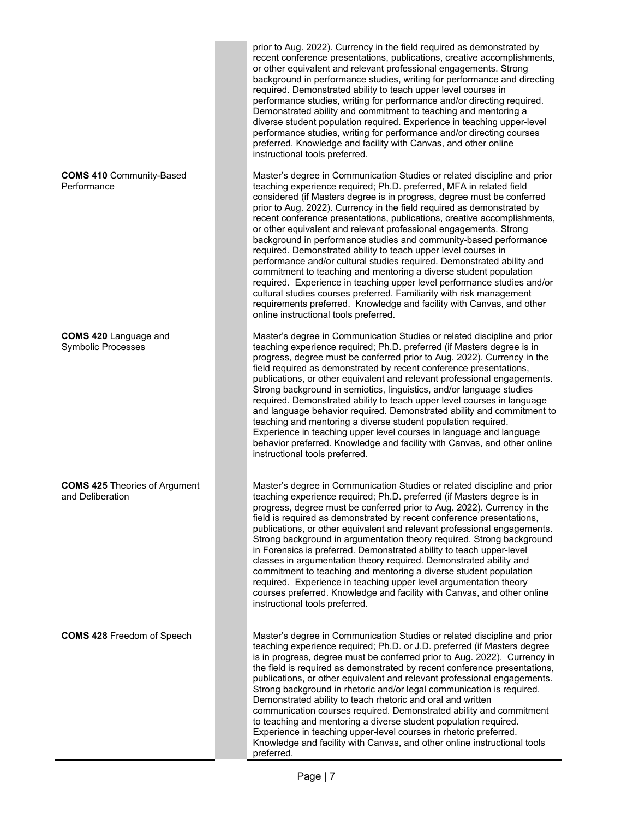|                                                           | prior to Aug. 2022). Currency in the field required as demonstrated by<br>recent conference presentations, publications, creative accomplishments,<br>or other equivalent and relevant professional engagements. Strong<br>background in performance studies, writing for performance and directing<br>required. Demonstrated ability to teach upper level courses in<br>performance studies, writing for performance and/or directing required.<br>Demonstrated ability and commitment to teaching and mentoring a<br>diverse student population required. Experience in teaching upper-level<br>performance studies, writing for performance and/or directing courses<br>preferred. Knowledge and facility with Canvas, and other online<br>instructional tools preferred.                                                                                                                                                                                                                                    |
|-----------------------------------------------------------|-----------------------------------------------------------------------------------------------------------------------------------------------------------------------------------------------------------------------------------------------------------------------------------------------------------------------------------------------------------------------------------------------------------------------------------------------------------------------------------------------------------------------------------------------------------------------------------------------------------------------------------------------------------------------------------------------------------------------------------------------------------------------------------------------------------------------------------------------------------------------------------------------------------------------------------------------------------------------------------------------------------------|
| <b>COMS 410 Community-Based</b><br>Performance            | Master's degree in Communication Studies or related discipline and prior<br>teaching experience required; Ph.D. preferred, MFA in related field<br>considered (if Masters degree is in progress, degree must be conferred<br>prior to Aug. 2022). Currency in the field required as demonstrated by<br>recent conference presentations, publications, creative accomplishments,<br>or other equivalent and relevant professional engagements. Strong<br>background in performance studies and community-based performance<br>required. Demonstrated ability to teach upper level courses in<br>performance and/or cultural studies required. Demonstrated ability and<br>commitment to teaching and mentoring a diverse student population<br>required. Experience in teaching upper level performance studies and/or<br>cultural studies courses preferred. Familiarity with risk management<br>requirements preferred. Knowledge and facility with Canvas, and other<br>online instructional tools preferred. |
| <b>COMS 420 Language and</b><br><b>Symbolic Processes</b> | Master's degree in Communication Studies or related discipline and prior<br>teaching experience required; Ph.D. preferred (if Masters degree is in<br>progress, degree must be conferred prior to Aug. 2022). Currency in the<br>field required as demonstrated by recent conference presentations,<br>publications, or other equivalent and relevant professional engagements.<br>Strong background in semiotics, linguistics, and/or language studies<br>required. Demonstrated ability to teach upper level courses in language<br>and language behavior required. Demonstrated ability and commitment to<br>teaching and mentoring a diverse student population required.<br>Experience in teaching upper level courses in language and language<br>behavior preferred. Knowledge and facility with Canvas, and other online<br>instructional tools preferred.                                                                                                                                              |
| <b>COMS 425 Theories of Argument</b><br>and Deliberation  | Master's degree in Communication Studies or related discipline and prior<br>teaching experience required; Ph.D. preferred (if Masters degree is in<br>progress, degree must be conferred prior to Aug. 2022). Currency in the<br>field is required as demonstrated by recent conference presentations,<br>publications, or other equivalent and relevant professional engagements.<br>Strong background in argumentation theory required. Strong background<br>in Forensics is preferred. Demonstrated ability to teach upper-level<br>classes in argumentation theory required. Demonstrated ability and<br>commitment to teaching and mentoring a diverse student population<br>required. Experience in teaching upper level argumentation theory<br>courses preferred. Knowledge and facility with Canvas, and other online<br>instructional tools preferred.                                                                                                                                                |
| <b>COMS 428 Freedom of Speech</b>                         | Master's degree in Communication Studies or related discipline and prior<br>teaching experience required; Ph.D. or J.D. preferred (if Masters degree<br>is in progress, degree must be conferred prior to Aug. 2022). Currency in<br>the field is required as demonstrated by recent conference presentations,<br>publications, or other equivalent and relevant professional engagements.<br>Strong background in rhetoric and/or legal communication is required.<br>Demonstrated ability to teach rhetoric and oral and written<br>communication courses required. Demonstrated ability and commitment<br>to teaching and mentoring a diverse student population required.<br>Experience in teaching upper-level courses in rhetoric preferred.<br>Knowledge and facility with Canvas, and other online instructional tools<br>preferred.                                                                                                                                                                    |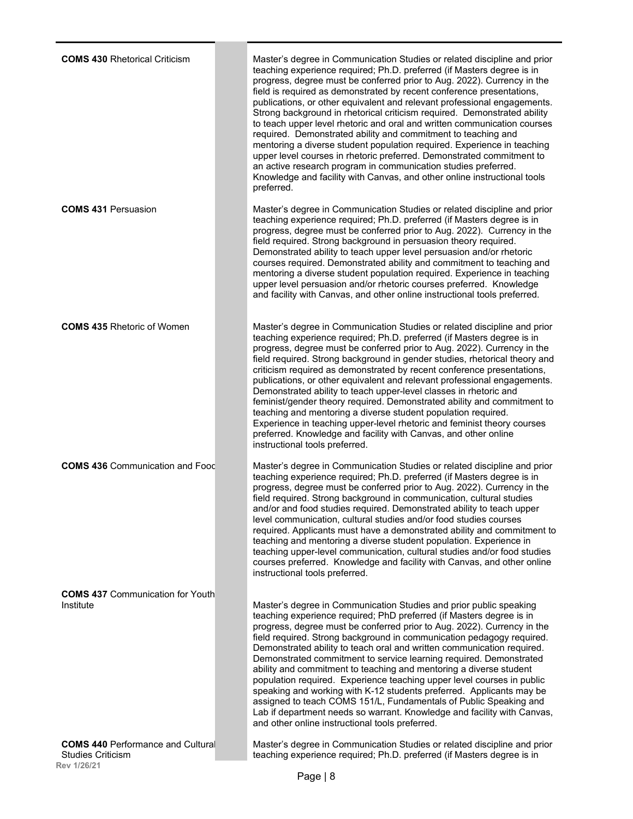| <b>COMS 430 Rhetorical Criticism</b>                                           | Master's degree in Communication Studies or related discipline and prior<br>teaching experience required; Ph.D. preferred (if Masters degree is in<br>progress, degree must be conferred prior to Aug. 2022). Currency in the<br>field is required as demonstrated by recent conference presentations,<br>publications, or other equivalent and relevant professional engagements.<br>Strong background in rhetorical criticism required. Demonstrated ability<br>to teach upper level rhetoric and oral and written communication courses<br>required. Demonstrated ability and commitment to teaching and<br>mentoring a diverse student population required. Experience in teaching<br>upper level courses in rhetoric preferred. Demonstrated commitment to<br>an active research program in communication studies preferred.<br>Knowledge and facility with Canvas, and other online instructional tools<br>preferred. |
|--------------------------------------------------------------------------------|-----------------------------------------------------------------------------------------------------------------------------------------------------------------------------------------------------------------------------------------------------------------------------------------------------------------------------------------------------------------------------------------------------------------------------------------------------------------------------------------------------------------------------------------------------------------------------------------------------------------------------------------------------------------------------------------------------------------------------------------------------------------------------------------------------------------------------------------------------------------------------------------------------------------------------|
| <b>COMS 431 Persuasion</b>                                                     | Master's degree in Communication Studies or related discipline and prior<br>teaching experience required; Ph.D. preferred (if Masters degree is in<br>progress, degree must be conferred prior to Aug. 2022). Currency in the<br>field required. Strong background in persuasion theory required.<br>Demonstrated ability to teach upper level persuasion and/or rhetoric<br>courses required. Demonstrated ability and commitment to teaching and<br>mentoring a diverse student population required. Experience in teaching<br>upper level persuasion and/or rhetoric courses preferred. Knowledge<br>and facility with Canvas, and other online instructional tools preferred.                                                                                                                                                                                                                                           |
| <b>COMS 435 Rhetoric of Women</b>                                              | Master's degree in Communication Studies or related discipline and prior<br>teaching experience required; Ph.D. preferred (if Masters degree is in<br>progress, degree must be conferred prior to Aug. 2022). Currency in the<br>field required. Strong background in gender studies, rhetorical theory and<br>criticism required as demonstrated by recent conference presentations,<br>publications, or other equivalent and relevant professional engagements.<br>Demonstrated ability to teach upper-level classes in rhetoric and<br>feminist/gender theory required. Demonstrated ability and commitment to<br>teaching and mentoring a diverse student population required.<br>Experience in teaching upper-level rhetoric and feminist theory courses<br>preferred. Knowledge and facility with Canvas, and other online<br>instructional tools preferred.                                                          |
| <b>COMS 436 Communication and Food</b>                                         | Master's degree in Communication Studies or related discipline and prior<br>teaching experience required; Ph.D. preferred (if Masters degree is in<br>progress, degree must be conferred prior to Aug. 2022). Currency in the<br>field required. Strong background in communication, cultural studies<br>and/or and food studies required. Demonstrated ability to teach upper<br>level communication, cultural studies and/or food studies courses<br>required. Applicants must have a demonstrated ability and commitment to<br>teaching and mentoring a diverse student population. Experience in<br>teaching upper-level communication, cultural studies and/or food studies<br>courses preferred. Knowledge and facility with Canvas, and other online<br>instructional tools preferred.                                                                                                                               |
| <b>COMS 437 Communication for Youth</b><br>Institute                           | Master's degree in Communication Studies and prior public speaking<br>teaching experience required; PhD preferred (if Masters degree is in<br>progress, degree must be conferred prior to Aug. 2022). Currency in the<br>field required. Strong background in communication pedagogy required.<br>Demonstrated ability to teach oral and written communication required.<br>Demonstrated commitment to service learning required. Demonstrated<br>ability and commitment to teaching and mentoring a diverse student<br>population required. Experience teaching upper level courses in public<br>speaking and working with K-12 students preferred. Applicants may be<br>assigned to teach COMS 151/L, Fundamentals of Public Speaking and<br>Lab if department needs so warrant. Knowledge and facility with Canvas,<br>and other online instructional tools preferred.                                                   |
| <b>COMS 440 Performance and Cultural</b><br><b>Studies Criticism</b><br>100101 | Master's degree in Communication Studies or related discipline and prior<br>teaching experience required; Ph.D. preferred (if Masters degree is in                                                                                                                                                                                                                                                                                                                                                                                                                                                                                                                                                                                                                                                                                                                                                                          |

**Rev 1/26/21**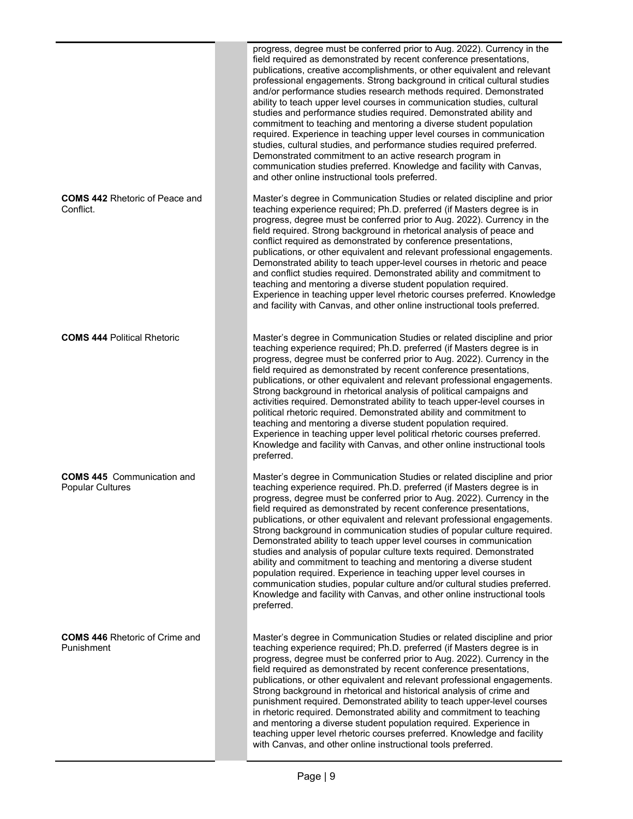|                                                              | progress, degree must be conferred prior to Aug. 2022). Currency in the<br>field required as demonstrated by recent conference presentations,<br>publications, creative accomplishments, or other equivalent and relevant<br>professional engagements. Strong background in critical cultural studies<br>and/or performance studies research methods required. Demonstrated<br>ability to teach upper level courses in communication studies, cultural<br>studies and performance studies required. Demonstrated ability and<br>commitment to teaching and mentoring a diverse student population<br>required. Experience in teaching upper level courses in communication<br>studies, cultural studies, and performance studies required preferred.<br>Demonstrated commitment to an active research program in<br>communication studies preferred. Knowledge and facility with Canvas,<br>and other online instructional tools preferred. |
|--------------------------------------------------------------|---------------------------------------------------------------------------------------------------------------------------------------------------------------------------------------------------------------------------------------------------------------------------------------------------------------------------------------------------------------------------------------------------------------------------------------------------------------------------------------------------------------------------------------------------------------------------------------------------------------------------------------------------------------------------------------------------------------------------------------------------------------------------------------------------------------------------------------------------------------------------------------------------------------------------------------------|
| <b>COMS 442 Rhetoric of Peace and</b><br>Conflict.           | Master's degree in Communication Studies or related discipline and prior<br>teaching experience required; Ph.D. preferred (if Masters degree is in<br>progress, degree must be conferred prior to Aug. 2022). Currency in the<br>field required. Strong background in rhetorical analysis of peace and<br>conflict required as demonstrated by conference presentations,<br>publications, or other equivalent and relevant professional engagements.<br>Demonstrated ability to teach upper-level courses in rhetoric and peace<br>and conflict studies required. Demonstrated ability and commitment to<br>teaching and mentoring a diverse student population required.<br>Experience in teaching upper level rhetoric courses preferred. Knowledge<br>and facility with Canvas, and other online instructional tools preferred.                                                                                                          |
| <b>COMS 444 Political Rhetoric</b>                           | Master's degree in Communication Studies or related discipline and prior<br>teaching experience required; Ph.D. preferred (if Masters degree is in<br>progress, degree must be conferred prior to Aug. 2022). Currency in the<br>field required as demonstrated by recent conference presentations,<br>publications, or other equivalent and relevant professional engagements.<br>Strong background in rhetorical analysis of political campaigns and<br>activities required. Demonstrated ability to teach upper-level courses in<br>political rhetoric required. Demonstrated ability and commitment to<br>teaching and mentoring a diverse student population required.<br>Experience in teaching upper level political rhetoric courses preferred.<br>Knowledge and facility with Canvas, and other online instructional tools<br>preferred.                                                                                           |
| <b>COMS 445</b> Communication and<br><b>Popular Cultures</b> | Master's degree in Communication Studies or related discipline and prior<br>teaching experience required. Ph.D. preferred (if Masters degree is in<br>progress, degree must be conferred prior to Aug. 2022). Currency in the<br>field required as demonstrated by recent conference presentations,<br>publications, or other equivalent and relevant professional engagements.<br>Strong background in communication studies of popular culture required.<br>Demonstrated ability to teach upper level courses in communication<br>studies and analysis of popular culture texts required. Demonstrated<br>ability and commitment to teaching and mentoring a diverse student<br>population required. Experience in teaching upper level courses in<br>communication studies, popular culture and/or cultural studies preferred.<br>Knowledge and facility with Canvas, and other online instructional tools<br>preferred.                 |
| <b>COMS 446 Rhetoric of Crime and</b><br>Punishment          | Master's degree in Communication Studies or related discipline and prior<br>teaching experience required; Ph.D. preferred (if Masters degree is in<br>progress, degree must be conferred prior to Aug. 2022). Currency in the<br>field required as demonstrated by recent conference presentations,<br>publications, or other equivalent and relevant professional engagements.<br>Strong background in rhetorical and historical analysis of crime and<br>punishment required. Demonstrated ability to teach upper-level courses<br>in rhetoric required. Demonstrated ability and commitment to teaching<br>and mentoring a diverse student population required. Experience in<br>teaching upper level rhetoric courses preferred. Knowledge and facility<br>with Canvas, and other online instructional tools preferred.                                                                                                                 |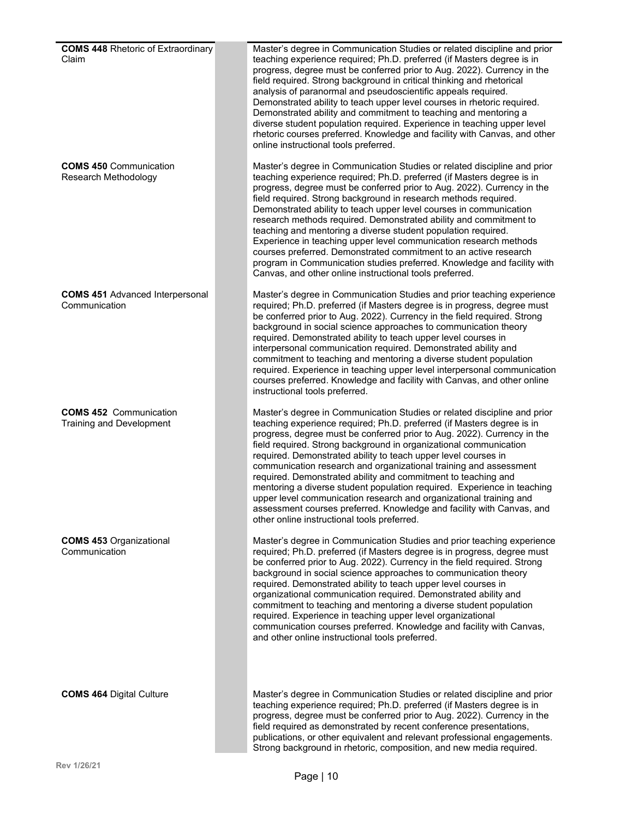| <b>COMS 448 Rhetoric of Extraordinary</b><br>Claim        | Master's degree in Communication Studies or related discipline and prior<br>teaching experience required; Ph.D. preferred (if Masters degree is in<br>progress, degree must be conferred prior to Aug. 2022). Currency in the<br>field required. Strong background in critical thinking and rhetorical<br>analysis of paranormal and pseudoscientific appeals required.<br>Demonstrated ability to teach upper level courses in rhetoric required.<br>Demonstrated ability and commitment to teaching and mentoring a<br>diverse student population required. Experience in teaching upper level<br>rhetoric courses preferred. Knowledge and facility with Canvas, and other<br>online instructional tools preferred.                                                                      |
|-----------------------------------------------------------|---------------------------------------------------------------------------------------------------------------------------------------------------------------------------------------------------------------------------------------------------------------------------------------------------------------------------------------------------------------------------------------------------------------------------------------------------------------------------------------------------------------------------------------------------------------------------------------------------------------------------------------------------------------------------------------------------------------------------------------------------------------------------------------------|
| <b>COMS 450 Communication</b><br>Research Methodology     | Master's degree in Communication Studies or related discipline and prior<br>teaching experience required; Ph.D. preferred (if Masters degree is in<br>progress, degree must be conferred prior to Aug. 2022). Currency in the<br>field required. Strong background in research methods required.<br>Demonstrated ability to teach upper level courses in communication<br>research methods required. Demonstrated ability and commitment to<br>teaching and mentoring a diverse student population required.<br>Experience in teaching upper level communication research methods<br>courses preferred. Demonstrated commitment to an active research<br>program in Communication studies preferred. Knowledge and facility with<br>Canvas, and other online instructional tools preferred. |
| <b>COMS 451 Advanced Interpersonal</b><br>Communication   | Master's degree in Communication Studies and prior teaching experience<br>required; Ph.D. preferred (if Masters degree is in progress, degree must<br>be conferred prior to Aug. 2022). Currency in the field required. Strong<br>background in social science approaches to communication theory<br>required. Demonstrated ability to teach upper level courses in<br>interpersonal communication required. Demonstrated ability and<br>commitment to teaching and mentoring a diverse student population<br>required. Experience in teaching upper level interpersonal communication<br>courses preferred. Knowledge and facility with Canvas, and other online<br>instructional tools preferred.                                                                                         |
| <b>COMS 452 Communication</b><br>Training and Development | Master's degree in Communication Studies or related discipline and prior<br>teaching experience required; Ph.D. preferred (if Masters degree is in<br>progress, degree must be conferred prior to Aug. 2022). Currency in the<br>field required. Strong background in organizational communication<br>required. Demonstrated ability to teach upper level courses in<br>communication research and organizational training and assessment<br>required. Demonstrated ability and commitment to teaching and<br>mentoring a diverse student population required. Experience in teaching<br>upper level communication research and organizational training and<br>assessment courses preferred. Knowledge and facility with Canvas, and<br>other online instructional tools preferred.         |
| <b>COMS 453 Organizational</b><br>Communication           | Master's degree in Communication Studies and prior teaching experience<br>required; Ph.D. preferred (if Masters degree is in progress, degree must<br>be conferred prior to Aug. 2022). Currency in the field required. Strong<br>background in social science approaches to communication theory<br>required. Demonstrated ability to teach upper level courses in<br>organizational communication required. Demonstrated ability and<br>commitment to teaching and mentoring a diverse student population<br>required. Experience in teaching upper level organizational<br>communication courses preferred. Knowledge and facility with Canvas,<br>and other online instructional tools preferred.                                                                                       |
| <b>COMS 464 Digital Culture</b>                           | Master's degree in Communication Studies or related discipline and prior<br>teaching experience required; Ph.D. preferred (if Masters degree is in<br>progress, degree must be conferred prior to Aug. 2022). Currency in the<br>field required as demonstrated by recent conference presentations,<br>publications, or other equivalent and relevant professional engagements.                                                                                                                                                                                                                                                                                                                                                                                                             |

Strong background in rhetoric, composition, and new media required.